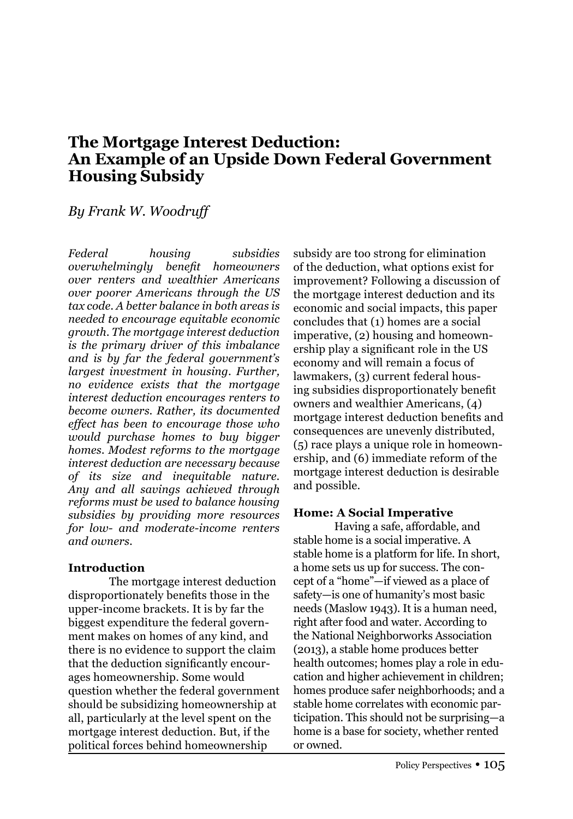# **The Mortgage Interest Deduction: An Example of an Upside Down Federal Government Housing Subsidy**

## *By Frank W. Woodruff*

*Federal housing subsidies overwhelmingly benefit homeowners over renters and wealthier Americans over poorer Americans through the US tax code. A better balance in both areas is needed to encourage equitable economic growth. The mortgage interest deduction is the primary driver of this imbalance and is by far the federal government's largest investment in housing. Further, no evidence exists that the mortgage interest deduction encourages renters to become owners. Rather, its documented effect has been to encourage those who would purchase homes to buy bigger homes. Modest reforms to the mortgage interest deduction are necessary because of its size and inequitable nature. Any and all savings achieved through reforms must be used to balance housing subsidies by providing more resources for low- and moderate-income renters and owners.* 

## **Introduction**

The mortgage interest deduction disproportionately benefits those in the upper-income brackets. It is by far the biggest expenditure the federal government makes on homes of any kind, and there is no evidence to support the claim that the deduction significantly encourages homeownership. Some would question whether the federal government should be subsidizing homeownership at all, particularly at the level spent on the mortgage interest deduction. But, if the political forces behind homeownership

subsidy are too strong for elimination of the deduction, what options exist for improvement? Following a discussion of the mortgage interest deduction and its economic and social impacts, this paper concludes that (1) homes are a social imperative, (2) housing and homeownership play a significant role in the US economy and will remain a focus of lawmakers, (3) current federal housing subsidies disproportionately benefit owners and wealthier Americans, (4) mortgage interest deduction benefits and consequences are unevenly distributed, (5) race plays a unique role in homeownership, and (6) immediate reform of the mortgage interest deduction is desirable and possible.

## **Home: A Social Imperative**

 Having a safe, affordable, and stable home is a social imperative. A stable home is a platform for life. In short, a home sets us up for success. The concept of a "home"—if viewed as a place of safety—is one of humanity's most basic needs (Maslow 1943). It is a human need, right after food and water. According to the National Neighborworks Association (2013), a stable home produces better health outcomes; homes play a role in education and higher achievement in children; homes produce safer neighborhoods; and a stable home correlates with economic participation. This should not be surprising—a home is a base for society, whether rented or owned.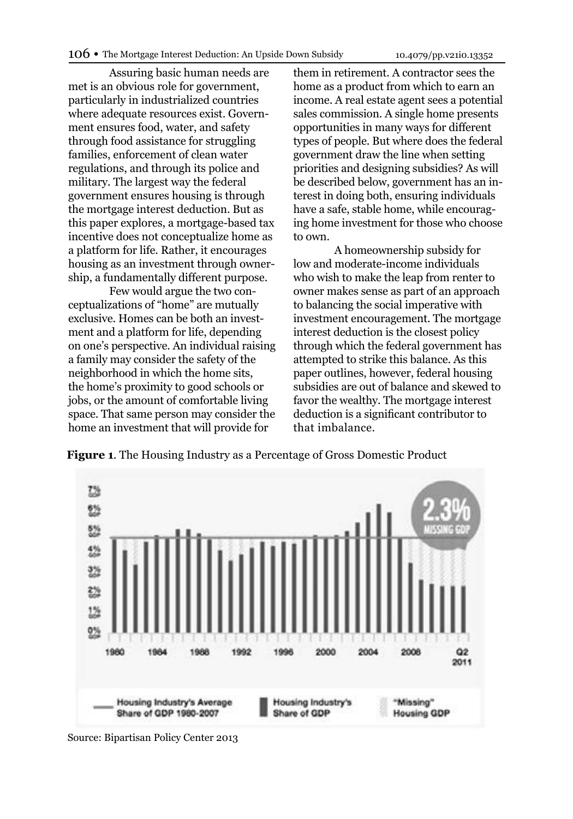Assuring basic human needs are met is an obvious role for government, particularly in industrialized countries where adequate resources exist. Government ensures food, water, and safety through food assistance for struggling families, enforcement of clean water regulations, and through its police and military. The largest way the federal government ensures housing is through the mortgage interest deduction. But as this paper explores, a mortgage-based tax incentive does not conceptualize home as a platform for life. Rather, it encourages housing as an investment through ownership, a fundamentally different purpose.

Few would argue the two conceptualizations of "home" are mutually exclusive. Homes can be both an investment and a platform for life, depending on one's perspective. An individual raising a family may consider the safety of the neighborhood in which the home sits, the home's proximity to good schools or jobs, or the amount of comfortable living space. That same person may consider the home an investment that will provide for

them in retirement. A contractor sees the home as a product from which to earn an income. A real estate agent sees a potential sales commission. A single home presents opportunities in many ways for different types of people. But where does the federal government draw the line when setting priorities and designing subsidies? As will be described below, government has an interest in doing both, ensuring individuals have a safe, stable home, while encouraging home investment for those who choose to own.

A homeownership subsidy for low and moderate-income individuals who wish to make the leap from renter to owner makes sense as part of an approach to balancing the social imperative with investment encouragement. The mortgage interest deduction is the closest policy through which the federal government has attempted to strike this balance. As this paper outlines, however, federal housing subsidies are out of balance and skewed to favor the wealthy. The mortgage interest deduction is a significant contributor to that imbalance.



**Figure 1**. The Housing Industry as a Percentage of Gross Domestic Product

Source: Bipartisan Policy Center 2013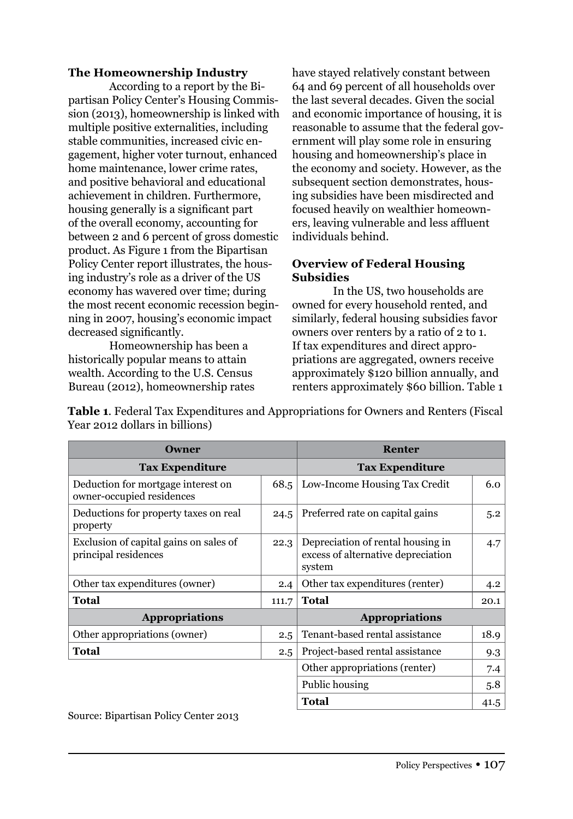#### **The Homeownership Industry**

According to a report by the Bipartisan Policy Center's Housing Commission (2013), homeownership is linked with multiple positive externalities, including stable communities, increased civic engagement, higher voter turnout, enhanced home maintenance, lower crime rates, and positive behavioral and educational achievement in children. Furthermore, housing generally is a significant part of the overall economy, accounting for between 2 and 6 percent of gross domestic product. As Figure 1 from the Bipartisan Policy Center report illustrates, the housing industry's role as a driver of the US economy has wavered over time; during the most recent economic recession beginning in 2007, housing's economic impact decreased significantly.

 Homeownership has been a historically popular means to attain wealth. According to the U.S. Census Bureau (2012), homeownership rates have stayed relatively constant between 64 and 69 percent of all households over the last several decades. Given the social and economic importance of housing, it is reasonable to assume that the federal government will play some role in ensuring housing and homeownership's place in the economy and society. However, as the subsequent section demonstrates, housing subsidies have been misdirected and focused heavily on wealthier homeowners, leaving vulnerable and less affluent individuals behind.

### **Overview of Federal Housing Subsidies**

 In the US, two households are owned for every household rented, and similarly, federal housing subsidies favor owners over renters by a ratio of 2 to 1. If tax expenditures and direct appropriations are aggregated, owners receive approximately \$120 billion annually, and renters approximately \$60 billion. Table 1

**Table 1**. Federal Tax Expenditures and Appropriations for Owners and Renters (Fiscal Year 2012 dollars in billions)

| <b>Owner</b>                                                    | <b>Renter</b>          |                                                                                   |      |
|-----------------------------------------------------------------|------------------------|-----------------------------------------------------------------------------------|------|
| <b>Tax Expenditure</b>                                          | <b>Tax Expenditure</b> |                                                                                   |      |
| Deduction for mortgage interest on<br>owner-occupied residences | 68.5                   | Low-Income Housing Tax Credit                                                     | 6.0  |
| Deductions for property taxes on real<br>property               | 24.5                   | Preferred rate on capital gains                                                   | 5.2  |
| Exclusion of capital gains on sales of<br>principal residences  | 22.3                   | Depreciation of rental housing in<br>excess of alternative depreciation<br>system | 4.7  |
| Other tax expenditures (owner)                                  | 2.4                    | Other tax expenditures (renter)                                                   |      |
| Total<br>111.7                                                  |                        | <b>Total</b><br>20.1                                                              |      |
| <b>Appropriations</b>                                           | <b>Appropriations</b>  |                                                                                   |      |
| Other appropriations (owner)                                    | 2.5                    | Tenant-based rental assistance                                                    | 18.9 |
| Total                                                           | 2.5                    | Project-based rental assistance                                                   | 9.3  |
|                                                                 |                        | Other appropriations (renter)<br>7.4                                              |      |
|                                                                 | Public housing<br>5.8  |                                                                                   |      |
|                                                                 | <b>Total</b>           | 41.5                                                                              |      |

Source: Bipartisan Policy Center 2013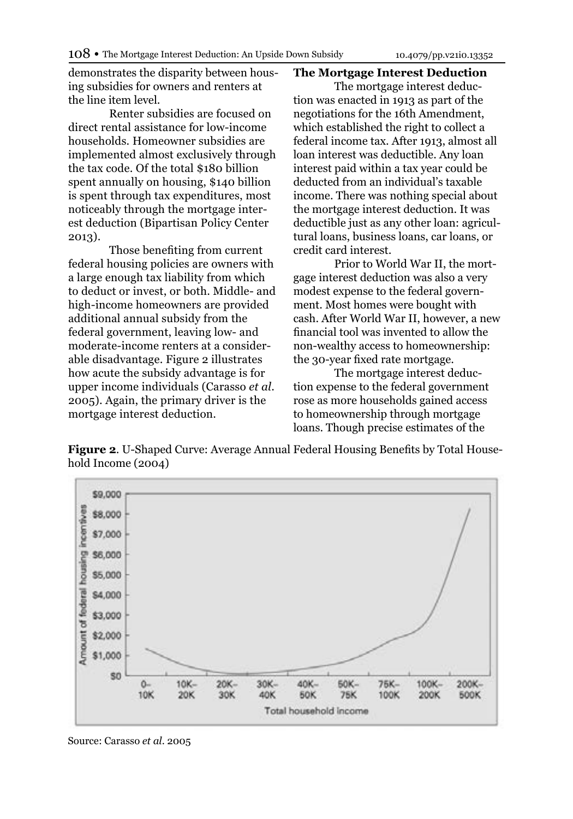demonstrates the disparity between housing subsidies for owners and renters at the line item level.

 Renter subsidies are focused on direct rental assistance for low-income households. Homeowner subsidies are implemented almost exclusively through the tax code. Of the total \$180 billion spent annually on housing, \$140 billion is spent through tax expenditures, most noticeably through the mortgage interest deduction (Bipartisan Policy Center 2013).

Those benefiting from current federal housing policies are owners with a large enough tax liability from which to deduct or invest, or both. Middle- and high-income homeowners are provided additional annual subsidy from the federal government, leaving low- and moderate-income renters at a considerable disadvantage. Figure 2 illustrates how acute the subsidy advantage is for upper income individuals (Carasso *et al*. 2005). Again, the primary driver is the mortgage interest deduction.

#### **The Mortgage Interest Deduction**

The mortgage interest deduction was enacted in 1913 as part of the negotiations for the 16th Amendment, which established the right to collect a federal income tax. After 1913, almost all loan interest was deductible. Any loan interest paid within a tax year could be deducted from an individual's taxable income. There was nothing special about the mortgage interest deduction. It was deductible just as any other loan: agricultural loans, business loans, car loans, or credit card interest.

Prior to World War II, the mortgage interest deduction was also a very modest expense to the federal government. Most homes were bought with cash. After World War II, however, a new financial tool was invented to allow the non-wealthy access to homeownership: the 30-year fixed rate mortgage.

The mortgage interest deduction expense to the federal government rose as more households gained access to homeownership through mortgage loans. Though precise estimates of the

**Figure 2**. U-Shaped Curve: Average Annual Federal Housing Benefits by Total Household Income (2004)



Source: Carasso *et al*. 2005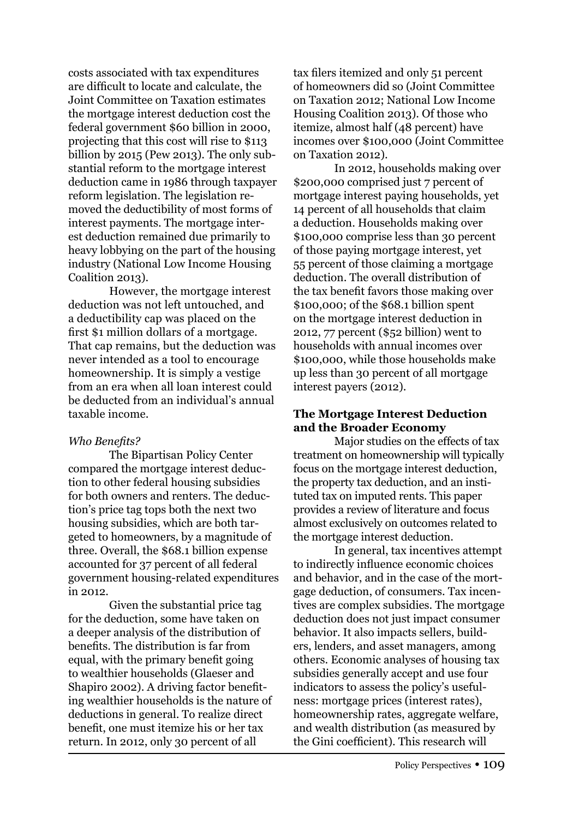costs associated with tax expenditures are difficult to locate and calculate, the Joint Committee on Taxation estimates the mortgage interest deduction cost the federal government \$60 billion in 2000, projecting that this cost will rise to \$113 billion by 2015 (Pew 2013). The only substantial reform to the mortgage interest deduction came in 1986 through taxpayer reform legislation. The legislation removed the deductibility of most forms of interest payments. The mortgage interest deduction remained due primarily to heavy lobbying on the part of the housing industry (National Low Income Housing Coalition 2013).

 However, the mortgage interest deduction was not left untouched, and a deductibility cap was placed on the first \$1 million dollars of a mortgage. That cap remains, but the deduction was never intended as a tool to encourage homeownership. It is simply a vestige from an era when all loan interest could be deducted from an individual's annual taxable income.

#### *Who Benefits?*

The Bipartisan Policy Center compared the mortgage interest deduction to other federal housing subsidies for both owners and renters. The deduction's price tag tops both the next two housing subsidies, which are both targeted to homeowners, by a magnitude of three. Overall, the \$68.1 billion expense accounted for 37 percent of all federal government housing-related expenditures in 2012.

Given the substantial price tag for the deduction, some have taken on a deeper analysis of the distribution of benefits. The distribution is far from equal, with the primary benefit going to wealthier households (Glaeser and Shapiro 2002). A driving factor benefiting wealthier households is the nature of deductions in general. To realize direct benefit, one must itemize his or her tax return. In 2012, only 30 percent of all

tax filers itemized and only 51 percent of homeowners did so (Joint Committee on Taxation 2012; National Low Income Housing Coalition 2013). Of those who itemize, almost half (48 percent) have incomes over \$100,000 (Joint Committee on Taxation 2012).

 In 2012, households making over \$200,000 comprised just 7 percent of mortgage interest paying households, yet 14 percent of all households that claim a deduction. Households making over \$100,000 comprise less than 30 percent of those paying mortgage interest, yet 55 percent of those claiming a mortgage deduction. The overall distribution of the tax benefit favors those making over \$100,000; of the \$68.1 billion spent on the mortgage interest deduction in 2012, 77 percent (\$52 billion) went to households with annual incomes over \$100,000, while those households make up less than 30 percent of all mortgage interest payers (2012).

### **The Mortgage Interest Deduction and the Broader Economy**

Major studies on the effects of tax treatment on homeownership will typically focus on the mortgage interest deduction, the property tax deduction, and an instituted tax on imputed rents. This paper provides a review of literature and focus almost exclusively on outcomes related to the mortgage interest deduction.

 In general, tax incentives attempt to indirectly influence economic choices and behavior, and in the case of the mortgage deduction, of consumers. Tax incentives are complex subsidies. The mortgage deduction does not just impact consumer behavior. It also impacts sellers, builders, lenders, and asset managers, among others. Economic analyses of housing tax subsidies generally accept and use four indicators to assess the policy's usefulness: mortgage prices (interest rates), homeownership rates, aggregate welfare, and wealth distribution (as measured by the Gini coefficient). This research will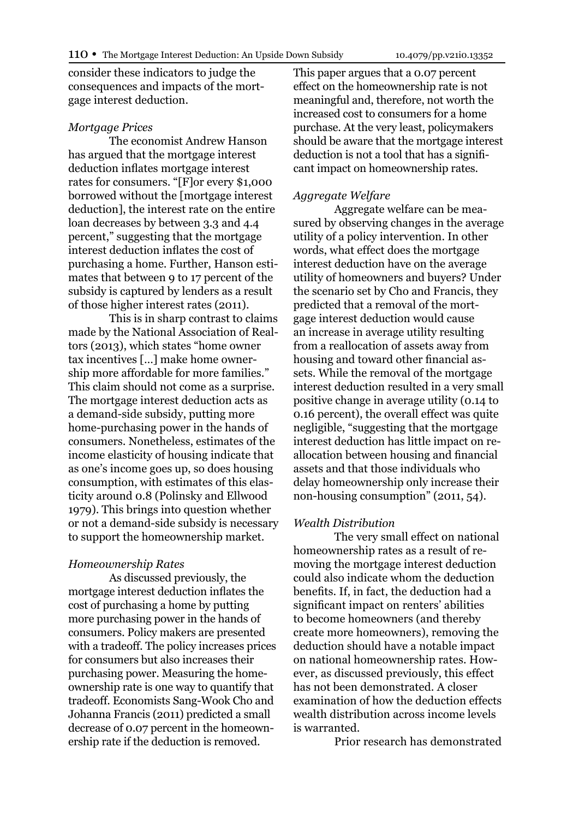consider these indicators to judge the consequences and impacts of the mortgage interest deduction.

#### *Mortgage Prices*

The economist Andrew Hanson has argued that the mortgage interest deduction inflates mortgage interest rates for consumers. "[F]or every \$1,000 borrowed without the [mortgage interest deduction], the interest rate on the entire loan decreases by between 3.3 and 4.4 percent," suggesting that the mortgage interest deduction inflates the cost of purchasing a home. Further, Hanson estimates that between 9 to 17 percent of the subsidy is captured by lenders as a result of those higher interest rates (2011).

This is in sharp contrast to claims made by the National Association of Realtors (2013), which states "home owner tax incentives […] make home ownership more affordable for more families." This claim should not come as a surprise. The mortgage interest deduction acts as a demand-side subsidy, putting more home-purchasing power in the hands of consumers. Nonetheless, estimates of the income elasticity of housing indicate that as one's income goes up, so does housing consumption, with estimates of this elasticity around 0.8 (Polinsky and Ellwood 1979). This brings into question whether or not a demand-side subsidy is necessary to support the homeownership market.

#### *Homeownership Rates*

As discussed previously, the mortgage interest deduction inflates the cost of purchasing a home by putting more purchasing power in the hands of consumers. Policy makers are presented with a tradeoff. The policy increases prices for consumers but also increases their purchasing power. Measuring the homeownership rate is one way to quantify that tradeoff. Economists Sang-Wook Cho and Johanna Francis (2011) predicted a small decrease of 0.07 percent in the homeownership rate if the deduction is removed.

This paper argues that a 0.07 percent effect on the homeownership rate is not meaningful and, therefore, not worth the increased cost to consumers for a home purchase. At the very least, policymakers should be aware that the mortgage interest deduction is not a tool that has a significant impact on homeownership rates.

#### *Aggregate Welfare*

Aggregate welfare can be measured by observing changes in the average utility of a policy intervention. In other words, what effect does the mortgage interest deduction have on the average utility of homeowners and buyers? Under the scenario set by Cho and Francis, they predicted that a removal of the mortgage interest deduction would cause an increase in average utility resulting from a reallocation of assets away from housing and toward other financial assets. While the removal of the mortgage interest deduction resulted in a very small positive change in average utility (0.14 to 0.16 percent), the overall effect was quite negligible, "suggesting that the mortgage interest deduction has little impact on reallocation between housing and financial assets and that those individuals who delay homeownership only increase their non-housing consumption" (2011, 54).

#### *Wealth Distribution*

The very small effect on national homeownership rates as a result of removing the mortgage interest deduction could also indicate whom the deduction benefits. If, in fact, the deduction had a significant impact on renters' abilities to become homeowners (and thereby create more homeowners), removing the deduction should have a notable impact on national homeownership rates. However, as discussed previously, this effect has not been demonstrated. A closer examination of how the deduction effects wealth distribution across income levels is warranted.

Prior research has demonstrated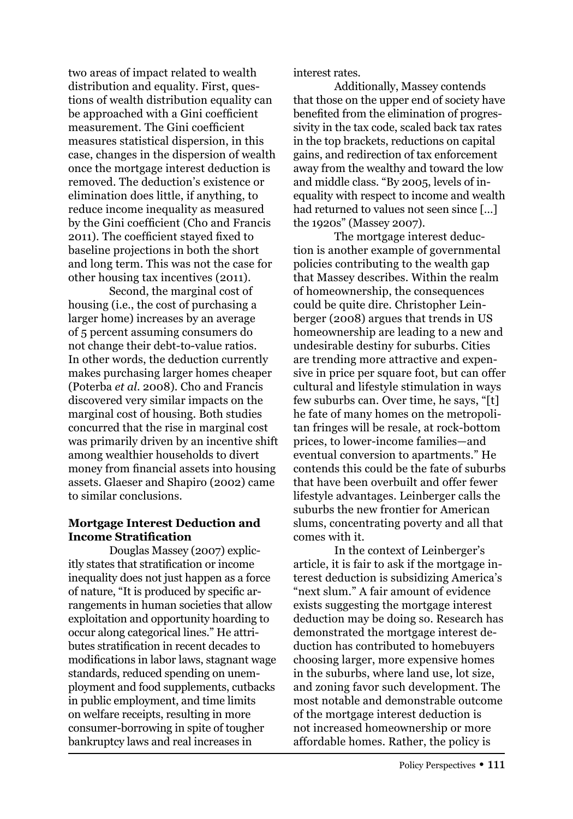two areas of impact related to wealth distribution and equality. First, questions of wealth distribution equality can be approached with a Gini coefficient measurement. The Gini coefficient measures statistical dispersion, in this case, changes in the dispersion of wealth once the mortgage interest deduction is removed. The deduction's existence or elimination does little, if anything, to reduce income inequality as measured by the Gini coefficient (Cho and Francis 2011). The coefficient stayed fixed to baseline projections in both the short and long term. This was not the case for other housing tax incentives (2011).

Second, the marginal cost of housing (i.e., the cost of purchasing a larger home) increases by an average of 5 percent assuming consumers do not change their debt-to-value ratios. In other words, the deduction currently makes purchasing larger homes cheaper (Poterba *et al*. 2008). Cho and Francis discovered very similar impacts on the marginal cost of housing. Both studies concurred that the rise in marginal cost was primarily driven by an incentive shift among wealthier households to divert money from financial assets into housing assets. Glaeser and Shapiro (2002) came to similar conclusions.

### **Mortgage Interest Deduction and Income Stratification**

Douglas Massey (2007) explicitly states that stratification or income inequality does not just happen as a force of nature, "It is produced by specific arrangements in human societies that allow exploitation and opportunity hoarding to occur along categorical lines." He attributes stratification in recent decades to modifications in labor laws, stagnant wage standards, reduced spending on unemployment and food supplements, cutbacks in public employment, and time limits on welfare receipts, resulting in more consumer-borrowing in spite of tougher bankruptcy laws and real increases in

interest rates.

Additionally, Massey contends that those on the upper end of society have benefited from the elimination of progressivity in the tax code, scaled back tax rates in the top brackets, reductions on capital gains, and redirection of tax enforcement away from the wealthy and toward the low and middle class. "By 2005, levels of inequality with respect to income and wealth had returned to values not seen since [...] the 1920s" (Massey 2007).

The mortgage interest deduction is another example of governmental policies contributing to the wealth gap that Massey describes. Within the realm of homeownership, the consequences could be quite dire. Christopher Leinberger (2008) argues that trends in US homeownership are leading to a new and undesirable destiny for suburbs. Cities are trending more attractive and expensive in price per square foot, but can offer cultural and lifestyle stimulation in ways few suburbs can. Over time, he says, "[t] he fate of many homes on the metropolitan fringes will be resale, at rock-bottom prices, to lower-income families—and eventual conversion to apartments." He contends this could be the fate of suburbs that have been overbuilt and offer fewer lifestyle advantages. Leinberger calls the suburbs the new frontier for American slums, concentrating poverty and all that comes with it.

 In the context of Leinberger's article, it is fair to ask if the mortgage interest deduction is subsidizing America's "next slum." A fair amount of evidence exists suggesting the mortgage interest deduction may be doing so. Research has demonstrated the mortgage interest deduction has contributed to homebuyers choosing larger, more expensive homes in the suburbs, where land use, lot size, and zoning favor such development. The most notable and demonstrable outcome of the mortgage interest deduction is not increased homeownership or more affordable homes. Rather, the policy is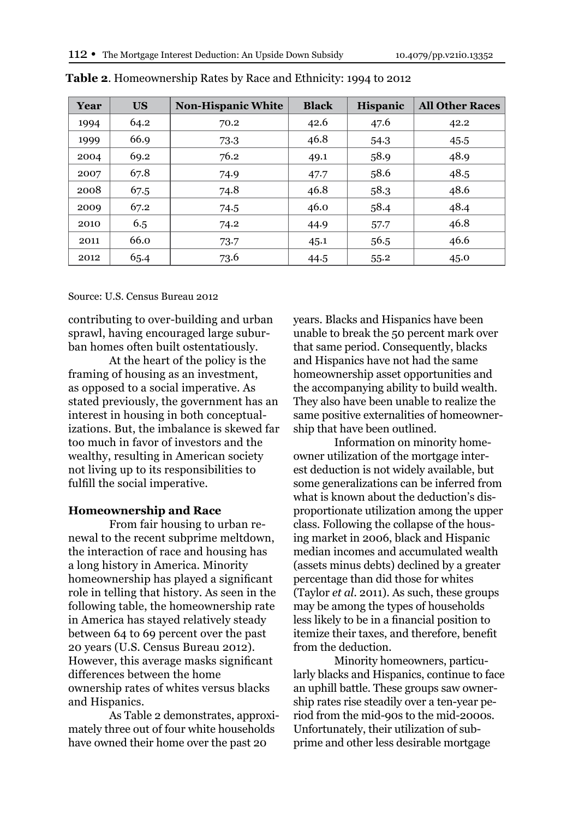| Year | <b>US</b> | <b>Non-Hispanic White</b> | <b>Black</b> | <b>Hispanic</b> | <b>All Other Races</b> |
|------|-----------|---------------------------|--------------|-----------------|------------------------|
| 1994 | 64.2      | 70.2                      | 42.6         | 47.6            | 42.2                   |
| 1999 | 66.9      | 73.3                      | 46.8         | 54.3            | 45.5                   |
| 2004 | 69.2      | 76.2                      | 49.1         | 58.9            | 48.9                   |
| 2007 | 67.8      | 74.9                      | 47.7         | 58.6            | 48.5                   |
| 2008 | 67.5      | 74.8                      | 46.8         | 58.3            | 48.6                   |
| 2009 | 67.2      | 74.5                      | 46.0         | 58.4            | 48.4                   |
| 2010 | 6.5       | 74.2                      | 44.9         | 57.7            | 46.8                   |
| 2011 | 66.0      | 73.7                      | 45.1         | 56.5            | 46.6                   |
| 2012 | 65.4      | 73.6                      | 44.5         | 55.2            | 45.0                   |

**Table 2**. Homeownership Rates by Race and Ethnicity: 1994 to 2012

Source: U.S. Census Bureau 2012

contributing to over-building and urban sprawl, having encouraged large suburban homes often built ostentatiously.

At the heart of the policy is the framing of housing as an investment, as opposed to a social imperative. As stated previously, the government has an interest in housing in both conceptualizations. But, the imbalance is skewed far too much in favor of investors and the wealthy, resulting in American society not living up to its responsibilities to fulfill the social imperative.

#### **Homeownership and Race**

From fair housing to urban renewal to the recent subprime meltdown, the interaction of race and housing has a long history in America. Minority homeownership has played a significant role in telling that history. As seen in the following table, the homeownership rate in America has stayed relatively steady between 64 to 69 percent over the past 20 years (U.S. Census Bureau 2012). However, this average masks significant differences between the home ownership rates of whites versus blacks and Hispanics.

As Table 2 demonstrates, approximately three out of four white households have owned their home over the past 20

years. Blacks and Hispanics have been unable to break the 50 percent mark over that same period. Consequently, blacks and Hispanics have not had the same homeownership asset opportunities and the accompanying ability to build wealth. They also have been unable to realize the same positive externalities of homeownership that have been outlined.

 Information on minority homeowner utilization of the mortgage interest deduction is not widely available, but some generalizations can be inferred from what is known about the deduction's disproportionate utilization among the upper class. Following the collapse of the housing market in 2006, black and Hispanic median incomes and accumulated wealth (assets minus debts) declined by a greater percentage than did those for whites (Taylor *et al*. 2011). As such, these groups may be among the types of households less likely to be in a financial position to itemize their taxes, and therefore, benefit from the deduction.

Minority homeowners, particularly blacks and Hispanics, continue to face an uphill battle. These groups saw ownership rates rise steadily over a ten-year period from the mid-90s to the mid-2000s. Unfortunately, their utilization of subprime and other less desirable mortgage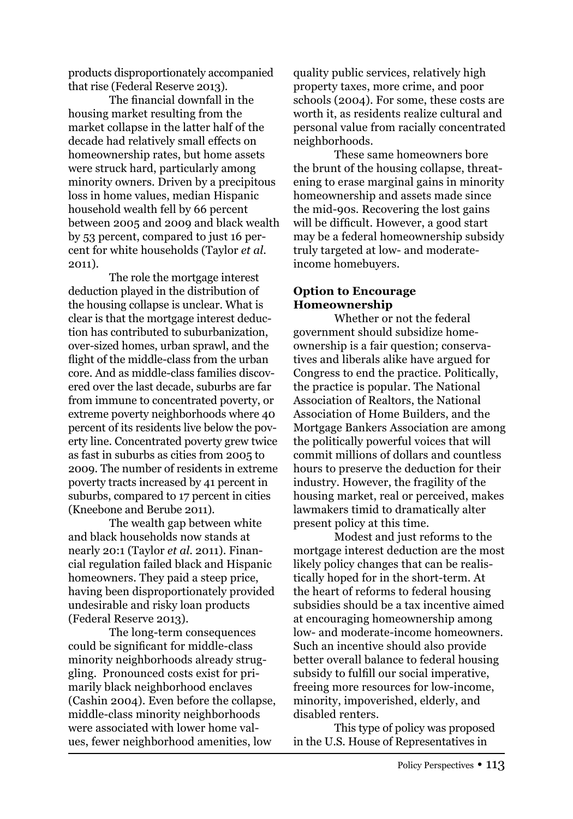products disproportionately accompanied that rise (Federal Reserve 2013).

The financial downfall in the housing market resulting from the market collapse in the latter half of the decade had relatively small effects on homeownership rates, but home assets were struck hard, particularly among minority owners. Driven by a precipitous loss in home values, median Hispanic household wealth fell by 66 percent between 2005 and 2009 and black wealth by 53 percent, compared to just 16 percent for white households (Taylor *et al*. 2011).

The role the mortgage interest deduction played in the distribution of the housing collapse is unclear. What is clear is that the mortgage interest deduction has contributed to suburbanization, over-sized homes, urban sprawl, and the flight of the middle-class from the urban core. And as middle-class families discovered over the last decade, suburbs are far from immune to concentrated poverty, or extreme poverty neighborhoods where 40 percent of its residents live below the poverty line. Concentrated poverty grew twice as fast in suburbs as cities from 2005 to 2009. The number of residents in extreme poverty tracts increased by 41 percent in suburbs, compared to 17 percent in cities (Kneebone and Berube 2011).

The wealth gap between white and black households now stands at nearly 20:1 (Taylor *et al*. 2011). Financial regulation failed black and Hispanic homeowners. They paid a steep price, having been disproportionately provided undesirable and risky loan products (Federal Reserve 2013).

The long-term consequences could be significant for middle-class minority neighborhoods already struggling. Pronounced costs exist for primarily black neighborhood enclaves (Cashin 2004). Even before the collapse, middle-class minority neighborhoods were associated with lower home values, fewer neighborhood amenities, low

quality public services, relatively high property taxes, more crime, and poor schools (2004). For some, these costs are worth it, as residents realize cultural and personal value from racially concentrated neighborhoods.

These same homeowners bore the brunt of the housing collapse, threatening to erase marginal gains in minority homeownership and assets made since the mid-90s. Recovering the lost gains will be difficult. However, a good start may be a federal homeownership subsidy truly targeted at low- and moderateincome homebuyers.

#### **Option to Encourage Homeownership**

Whether or not the federal government should subsidize homeownership is a fair question; conservatives and liberals alike have argued for Congress to end the practice. Politically, the practice is popular. The National Association of Realtors, the National Association of Home Builders, and the Mortgage Bankers Association are among the politically powerful voices that will commit millions of dollars and countless hours to preserve the deduction for their industry. However, the fragility of the housing market, real or perceived, makes lawmakers timid to dramatically alter present policy at this time.

Modest and just reforms to the mortgage interest deduction are the most likely policy changes that can be realistically hoped for in the short-term. At the heart of reforms to federal housing subsidies should be a tax incentive aimed at encouraging homeownership among low- and moderate-income homeowners. Such an incentive should also provide better overall balance to federal housing subsidy to fulfill our social imperative, freeing more resources for low-income, minority, impoverished, elderly, and disabled renters.

This type of policy was proposed in the U.S. House of Representatives in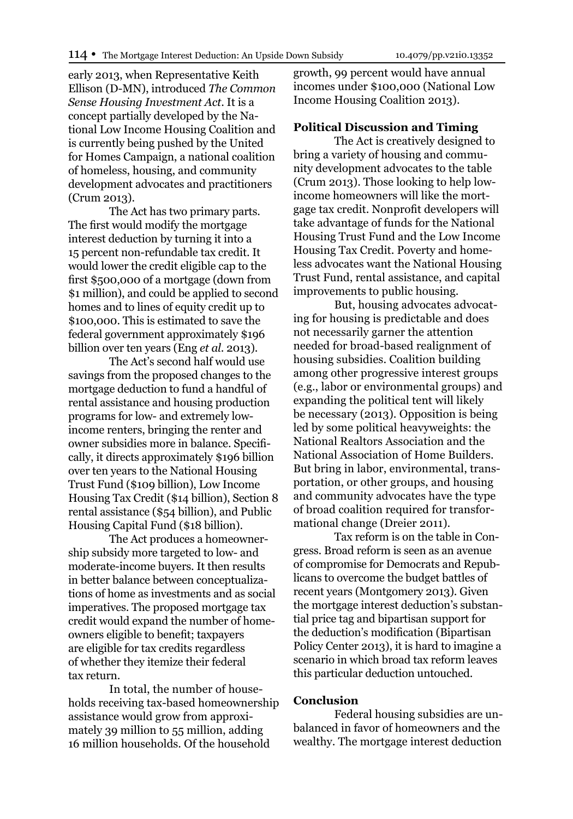early 2013, when Representative Keith Ellison (D-MN), introduced *The Common Sense Housing Investment Act*. It is a concept partially developed by the National Low Income Housing Coalition and is currently being pushed by the United for Homes Campaign, a national coalition of homeless, housing, and community development advocates and practitioners (Crum 2013).

The Act has two primary parts. The first would modify the mortgage interest deduction by turning it into a 15 percent non-refundable tax credit. It would lower the credit eligible cap to the first \$500,000 of a mortgage (down from \$1 million), and could be applied to second homes and to lines of equity credit up to \$100,000. This is estimated to save the federal government approximately \$196 billion over ten years (Eng *et al*. 2013).

The Act's second half would use savings from the proposed changes to the mortgage deduction to fund a handful of rental assistance and housing production programs for low- and extremely lowincome renters, bringing the renter and owner subsidies more in balance. Specifically, it directs approximately \$196 billion over ten years to the National Housing Trust Fund (\$109 billion), Low Income Housing Tax Credit (\$14 billion), Section 8 rental assistance (\$54 billion), and Public Housing Capital Fund (\$18 billion).

The Act produces a homeownership subsidy more targeted to low- and moderate-income buyers. It then results in better balance between conceptualizations of home as investments and as social imperatives. The proposed mortgage tax credit would expand the number of homeowners eligible to benefit; taxpayers are eligible for tax credits regardless of whether they itemize their federal tax return.

 In total, the number of households receiving tax-based homeownership assistance would grow from approximately 39 million to 55 million, adding 16 million households. Of the household

growth, 99 percent would have annual incomes under \$100,000 (National Low Income Housing Coalition 2013).

#### **Political Discussion and Timing**

The Act is creatively designed to bring a variety of housing and community development advocates to the table (Crum 2013). Those looking to help lowincome homeowners will like the mortgage tax credit. Nonprofit developers will take advantage of funds for the National Housing Trust Fund and the Low Income Housing Tax Credit. Poverty and homeless advocates want the National Housing Trust Fund, rental assistance, and capital improvements to public housing.

But, housing advocates advocating for housing is predictable and does not necessarily garner the attention needed for broad-based realignment of housing subsidies. Coalition building among other progressive interest groups (e.g., labor or environmental groups) and expanding the political tent will likely be necessary (2013). Opposition is being led by some political heavyweights: the National Realtors Association and the National Association of Home Builders. But bring in labor, environmental, transportation, or other groups, and housing and community advocates have the type of broad coalition required for transformational change (Dreier 2011).

Tax reform is on the table in Congress. Broad reform is seen as an avenue of compromise for Democrats and Republicans to overcome the budget battles of recent years (Montgomery 2013). Given the mortgage interest deduction's substantial price tag and bipartisan support for the deduction's modification (Bipartisan Policy Center 2013), it is hard to imagine a scenario in which broad tax reform leaves this particular deduction untouched.

#### **Conclusion**

Federal housing subsidies are unbalanced in favor of homeowners and the wealthy. The mortgage interest deduction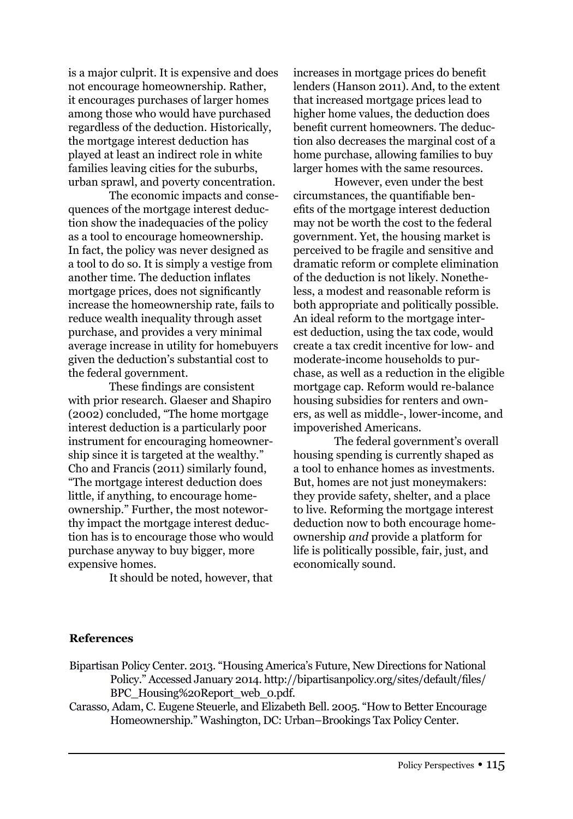is a major culprit. It is expensive and does not encourage homeownership. Rather, it encourages purchases of larger homes among those who would have purchased regardless of the deduction. Historically, the mortgage interest deduction has played at least an indirect role in white families leaving cities for the suburbs, urban sprawl, and poverty concentration.

The economic impacts and consequences of the mortgage interest deduction show the inadequacies of the policy as a tool to encourage homeownership. In fact, the policy was never designed as a tool to do so. It is simply a vestige from another time. The deduction inflates mortgage prices, does not significantly increase the homeownership rate, fails to reduce wealth inequality through asset purchase, and provides a very minimal average increase in utility for homebuyers given the deduction's substantial cost to the federal government.

These findings are consistent with prior research. Glaeser and Shapiro (2002) concluded, "The home mortgage interest deduction is a particularly poor instrument for encouraging homeownership since it is targeted at the wealthy." Cho and Francis (2011) similarly found, "The mortgage interest deduction does little, if anything, to encourage homeownership." Further, the most noteworthy impact the mortgage interest deduction has is to encourage those who would purchase anyway to buy bigger, more expensive homes.

It should be noted, however, that

increases in mortgage prices do benefit lenders (Hanson 2011). And, to the extent that increased mortgage prices lead to higher home values, the deduction does benefit current homeowners. The deduction also decreases the marginal cost of a home purchase, allowing families to buy larger homes with the same resources.

 However, even under the best circumstances, the quantifiable benefits of the mortgage interest deduction may not be worth the cost to the federal government. Yet, the housing market is perceived to be fragile and sensitive and dramatic reform or complete elimination of the deduction is not likely. Nonetheless, a modest and reasonable reform is both appropriate and politically possible. An ideal reform to the mortgage interest deduction, using the tax code, would create a tax credit incentive for low- and moderate-income households to purchase, as well as a reduction in the eligible mortgage cap. Reform would re-balance housing subsidies for renters and owners, as well as middle-, lower-income, and impoverished Americans.

The federal government's overall housing spending is currently shaped as a tool to enhance homes as investments. But, homes are not just moneymakers: they provide safety, shelter, and a place to live. Reforming the mortgage interest deduction now to both encourage homeownership *and* provide a platform for life is politically possible, fair, just, and economically sound.

### **References**

- Bipartisan Policy Center. 2013. "Housing America's Future, New Directions for National Policy." Accessed January 2014. http://bipartisanpolicy.org/sites/default/files/ BPC\_Housing%20Report\_web\_0.pdf.
- Carasso, Adam, C. Eugene Steuerle, and Elizabeth Bell. 2005. "How to Better Encourage Homeownership." Washington, DC: Urban–Brookings Tax Policy Center.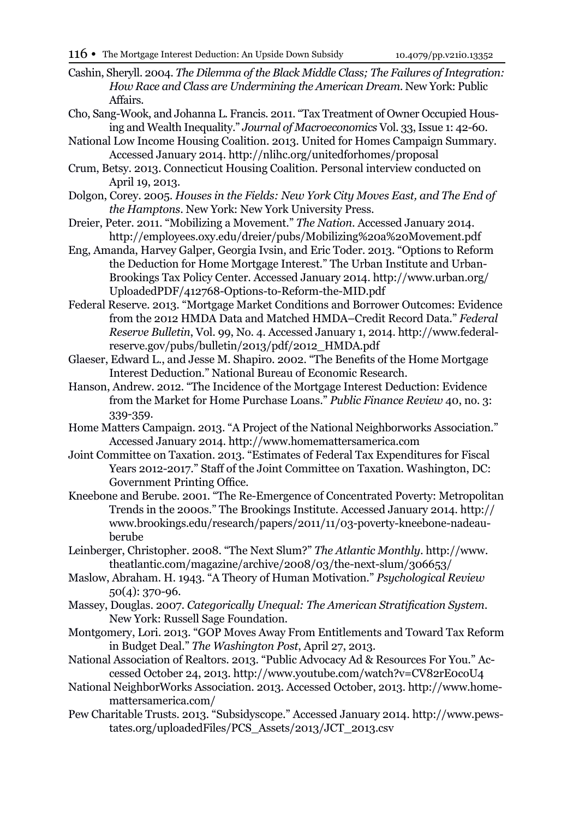- Cashin, Sheryll. 2004. *The Dilemma of the Black Middle Class; The Failures of Integration: How Race and Class are Undermining the American Dream*. New York: Public Affairs.
- Cho, Sang-Wook, and Johanna L. Francis. 2011. "Tax Treatment of Owner Occupied Housing and Wealth Inequality." *Journal of Macroeconomics* Vol. 33, Issue 1: 42-60.
- National Low Income Housing Coalition. 2013. United for Homes Campaign Summary. Accessed January 2014. http://nlihc.org/unitedforhomes/proposal
- Crum, Betsy. 2013. Connecticut Housing Coalition. Personal interview conducted on April 19, 2013.
- Dolgon, Corey. 2005. *Houses in the Fields: New York City Moves East, and The End of the Hamptons*. New York: New York University Press.
- Dreier, Peter. 2011. "Mobilizing a Movement." *The Nation*. Accessed January 2014. http://employees.oxy.edu/dreier/pubs/Mobilizing%20a%20Movement.pdf
- Eng, Amanda, Harvey Galper, Georgia Ivsin, and Eric Toder. 2013. "Options to Reform the Deduction for Home Mortgage Interest." The Urban Institute and Urban-Brookings Tax Policy Center. Accessed January 2014. http://www.urban.org/ UploadedPDF/412768-Options-to-Reform-the-MID.pdf
- Federal Reserve. 2013. "Mortgage Market Conditions and Borrower Outcomes: Evidence from the 2012 HMDA Data and Matched HMDA–Credit Record Data." *Federal Reserve Bulletin*, Vol. 99, No. 4. Accessed January 1, 2014. http://www.federalreserve.gov/pubs/bulletin/2013/pdf/2012\_HMDA.pdf
- Glaeser, Edward L., and Jesse M. Shapiro. 2002. "The Benefits of the Home Mortgage Interest Deduction." National Bureau of Economic Research.
- Hanson, Andrew. 2012. "The Incidence of the Mortgage Interest Deduction: Evidence from the Market for Home Purchase Loans." *Public Finance Review* 40, no. 3: 339-359.
- Home Matters Campaign. 2013. "A Project of the National Neighborworks Association." Accessed January 2014. http://www.homemattersamerica.com
- Joint Committee on Taxation. 2013. "Estimates of Federal Tax Expenditures for Fiscal Years 2012-2017." Staff of the Joint Committee on Taxation. Washington, DC: Government Printing Office.
- Kneebone and Berube. 2001. "The Re-Emergence of Concentrated Poverty: Metropolitan Trends in the 2000s." The Brookings Institute. Accessed January 2014. http:// www.brookings.edu/research/papers/2011/11/03-poverty-kneebone-nadeauberube
- Leinberger, Christopher. 2008. "The Next Slum?" *The Atlantic Monthly*. http://www. theatlantic.com/magazine/archive/2008/03/the-next-slum/306653/
- Maslow, Abraham. H. 1943. "A Theory of Human Motivation." *Psychological Review*  50(4): 370-96.
- Massey, Douglas. 2007. *Categorically Unequal: The American Stratification System*. New York: Russell Sage Foundation.
- Montgomery, Lori. 2013. "GOP Moves Away From Entitlements and Toward Tax Reform in Budget Deal." *The Washington Post*, April 27, 2013.
- National Association of Realtors. 2013. "Public Advocacy Ad & Resources For You." Accessed October 24, 2013. http://www.youtube.com/watch?v=CV82rE0coU4
- National NeighborWorks Association. 2013. Accessed October, 2013. http://www.homemattersamerica.com/
- Pew Charitable Trusts. 2013. "Subsidyscope." Accessed January 2014. http://www.pewstates.org/uploadedFiles/PCS\_Assets/2013/JCT\_2013.csv